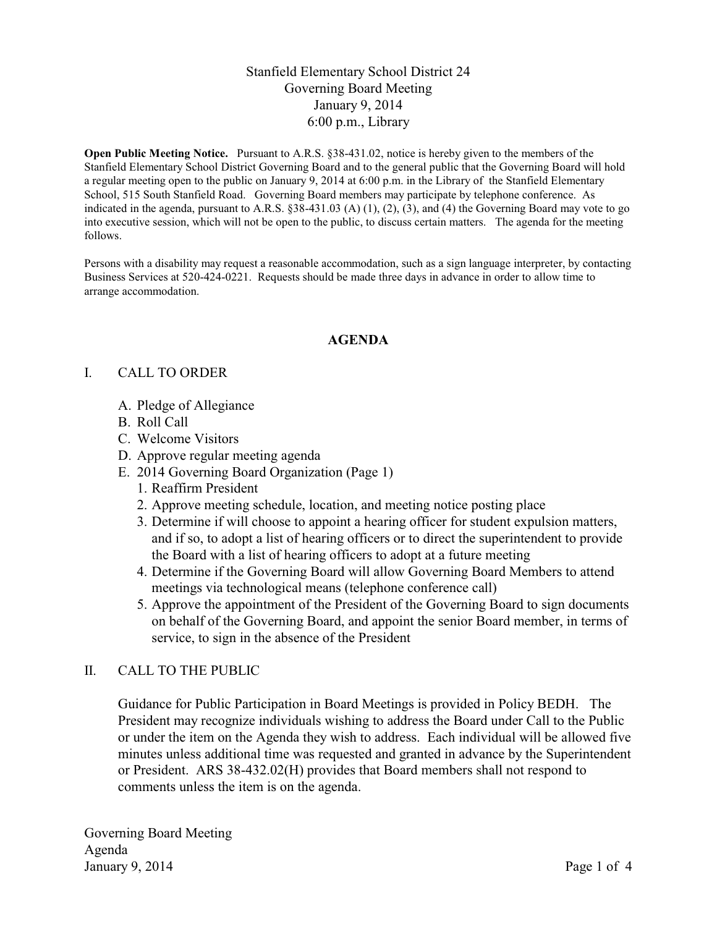# Stanfield Elementary School District 24 Governing Board Meeting January 9, 2014 6:00 p.m., Library

**Open Public Meeting Notice.** Pursuant to A.R.S. §38-431.02, notice is hereby given to the members of the Stanfield Elementary School District Governing Board and to the general public that the Governing Board will hold a regular meeting open to the public on January 9, 2014 at 6:00 p.m. in the Library of the Stanfield Elementary School, 515 South Stanfield Road. Governing Board members may participate by telephone conference. As indicated in the agenda, pursuant to A.R.S.  $\S 38-431.03$  (A) (1), (2), (3), and (4) the Governing Board may vote to go into executive session, which will not be open to the public, to discuss certain matters. The agenda for the meeting follows.

Persons with a disability may request a reasonable accommodation, such as a sign language interpreter, by contacting Business Services at 520-424-0221. Requests should be made three days in advance in order to allow time to arrange accommodation.

### **AGENDA**

### I. CALL TO ORDER

- A. Pledge of Allegiance
- B. Roll Call
- C. Welcome Visitors
- D. Approve regular meeting agenda
- E. 2014 Governing Board Organization (Page 1)
	- 1. Reaffirm President
	- 2. Approve meeting schedule, location, and meeting notice posting place
	- 3. Determine if will choose to appoint a hearing officer for student expulsion matters, and if so, to adopt a list of hearing officers or to direct the superintendent to provide the Board with a list of hearing officers to adopt at a future meeting
	- 4. Determine if the Governing Board will allow Governing Board Members to attend meetings via technological means (telephone conference call)
	- 5. Approve the appointment of the President of the Governing Board to sign documents on behalf of the Governing Board, and appoint the senior Board member, in terms of service, to sign in the absence of the President

### II. CALL TO THE PUBLIC

Guidance for Public Participation in Board Meetings is provided in Policy BEDH. The President may recognize individuals wishing to address the Board under Call to the Public or under the item on the Agenda they wish to address. Each individual will be allowed five minutes unless additional time was requested and granted in advance by the Superintendent or President. ARS 38-432.02(H) provides that Board members shall not respond to comments unless the item is on the agenda.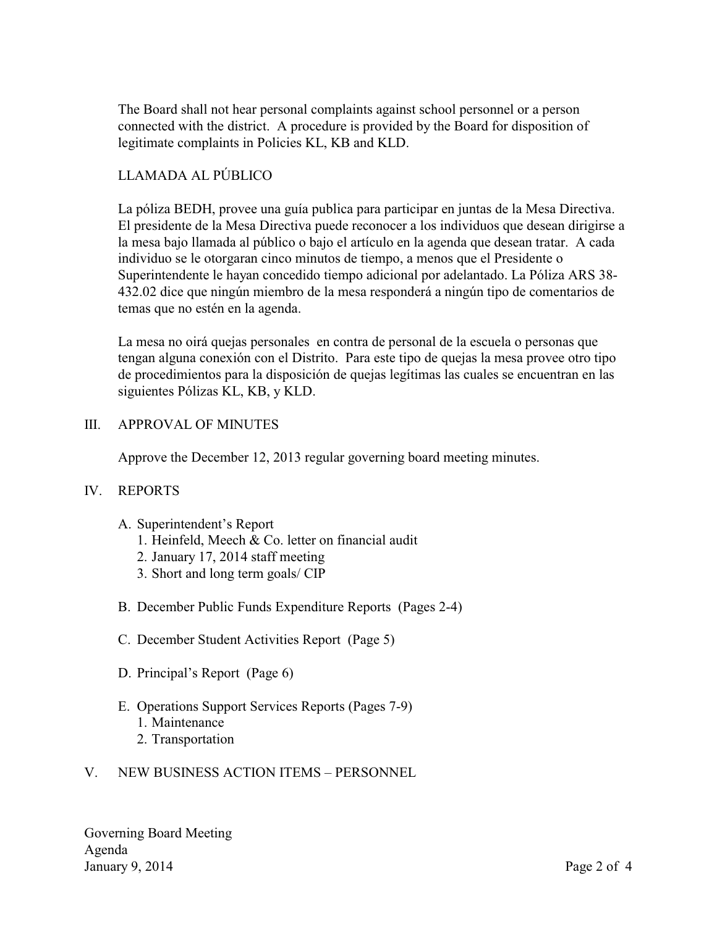The Board shall not hear personal complaints against school personnel or a person connected with the district. A procedure is provided by the Board for disposition of legitimate complaints in Policies KL, KB and KLD.

# LLAMADA AL PÚBLICO

La póliza BEDH, provee una guía publica para participar en juntas de la Mesa Directiva. El presidente de la Mesa Directiva puede reconocer a los individuos que desean dirigirse a la mesa bajo llamada al público o bajo el artículo en la agenda que desean tratar. A cada individuo se le otorgaran cinco minutos de tiempo, a menos que el Presidente o Superintendente le hayan concedido tiempo adicional por adelantado. La Póliza ARS 38- 432.02 dice que ningún miembro de la mesa responderá a ningún tipo de comentarios de temas que no estén en la agenda.

La mesa no oirá quejas personales en contra de personal de la escuela o personas que tengan alguna conexión con el Distrito. Para este tipo de quejas la mesa provee otro tipo de procedimientos para la disposición de quejas legítimas las cuales se encuentran en las siguientes Pólizas KL, KB, y KLD.

## III. APPROVAL OF MINUTES

Approve the December 12, 2013 regular governing board meeting minutes.

### IV. REPORTS

- A. Superintendent's Report
	- 1. Heinfeld, Meech & Co. letter on financial audit
	- 2. January 17, 2014 staff meeting
	- 3. Short and long term goals/ CIP
- B. December Public Funds Expenditure Reports (Pages 2-4)
- C. December Student Activities Report (Page 5)
- D. Principal's Report (Page 6)
- E. Operations Support Services Reports (Pages 7-9) 1. Maintenance
	- 2. Transportation
- V. NEW BUSINESS ACTION ITEMS PERSONNEL

Governing Board Meeting Agenda January 9, 2014 Page 2 of 4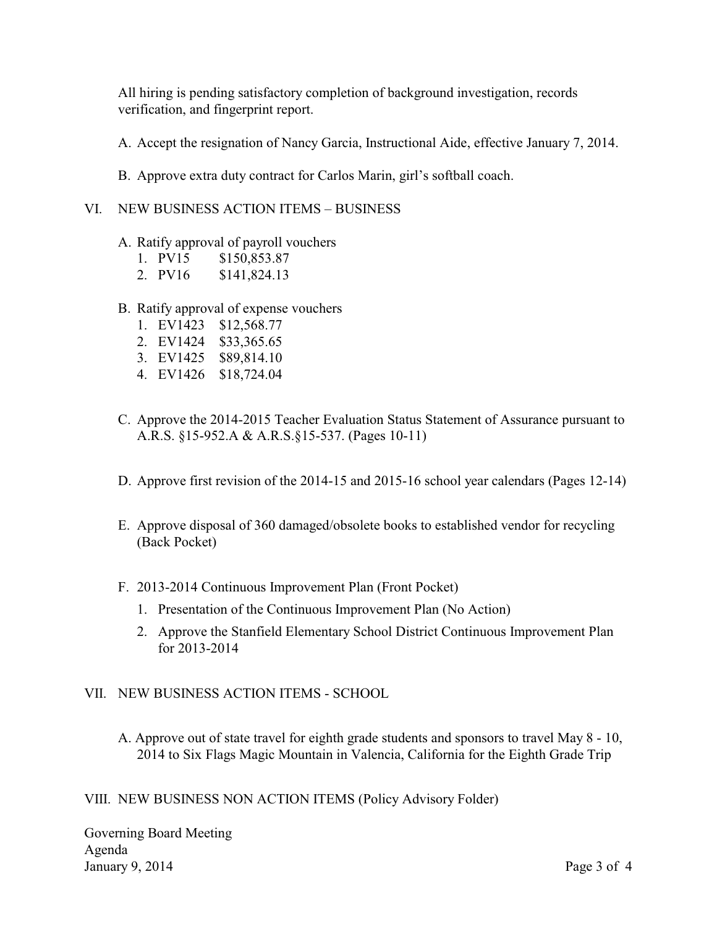All hiring is pending satisfactory completion of background investigation, records verification, and fingerprint report.

- A. Accept the resignation of Nancy Garcia, Instructional Aide, effective January 7, 2014.
- B. Approve extra duty contract for Carlos Marin, girl's softball coach.

### VI. NEW BUSINESS ACTION ITEMS – BUSINESS

A. Ratify approval of payroll vouchers

|   | 1. PV15 | \$150,853.87 |
|---|---------|--------------|
| - | ----    |              |

- 2. PV16 \$141,824.13
- B. Ratify approval of expense vouchers
	- 1. EV1423 \$12,568.77
	- 2. EV1424 \$33,365.65
	- 3. EV1425 \$89,814.10
	- 4. EV1426 \$18,724.04
- C. Approve the 2014-2015 Teacher Evaluation Status Statement of Assurance pursuant to A.R.S. §15-952.A & A.R.S.§15-537. (Pages 10-11)
- D. Approve first revision of the 2014-15 and 2015-16 school year calendars (Pages 12-14)
- E. Approve disposal of 360 damaged/obsolete books to established vendor for recycling (Back Pocket)
- F. 2013-2014 Continuous Improvement Plan (Front Pocket)
	- 1. Presentation of the Continuous Improvement Plan (No Action)
	- 2. Approve the Stanfield Elementary School District Continuous Improvement Plan for 2013-2014

### VII. NEW BUSINESS ACTION ITEMS - SCHOOL

A. Approve out of state travel for eighth grade students and sponsors to travel May 8 - 10, 2014 to Six Flags Magic Mountain in Valencia, California for the Eighth Grade Trip

VIII. NEW BUSINESS NON ACTION ITEMS (Policy Advisory Folder)

Governing Board Meeting Agenda January 9, 2014 Page 3 of 4